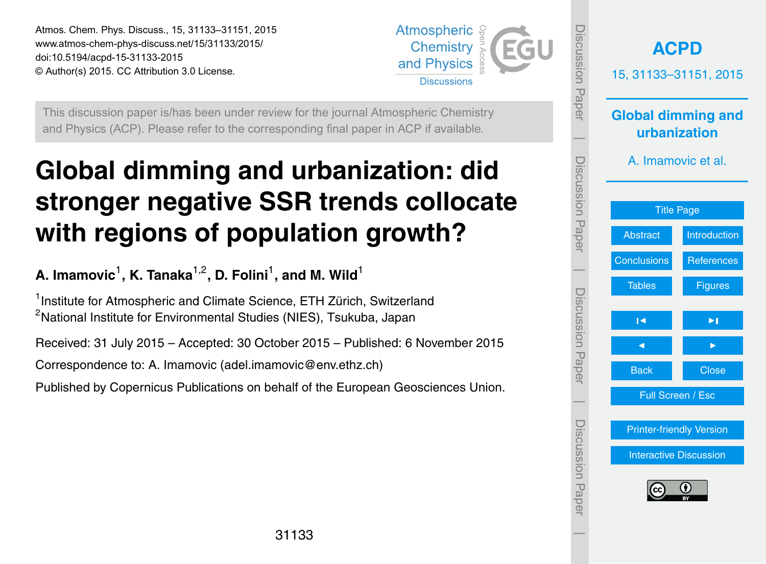<span id="page-0-0"></span>Atmos. Chem. Phys. Discuss., 15, 31133–31151, 2015 www.atmos-chem-phys-discuss.net/15/31133/2015/ doi:10.5194/acpd-15-31133-2015 © Author(s) 2015. CC Attribution 3.0 License.



This discussion paper is/has been under review for the journal Atmospheric Chemistry and Physics (ACP). Please refer to the corresponding final paper in ACP if available.

# **Global dimming and urbanization: did stronger negative SSR trends collocate with regions of population growth?**

A. Imamovic<sup>1</sup>, K. Tanaka<sup>1,2</sup>, D. Folini<sup>1</sup>, and M. Wild<sup>1</sup>

<sup>1</sup> Institute for Atmospheric and Climate Science, ETH Zürich, Switzerland <sup>2</sup>National Institute for Environmental Studies (NIES), Tsukuba, Japan

Received: 31 July 2015 – Accepted: 30 October 2015 – Published: 6 November 2015

Correspondence to: A. Imamovic (adel.imamovic@env.ethz.ch)

Published by Copernicus Publications on behalf of the European Geosciences Union.

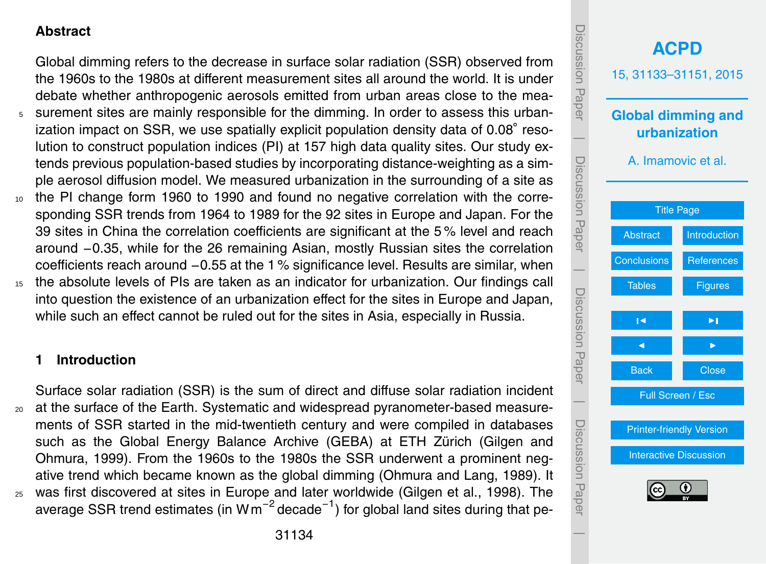# <span id="page-1-0"></span>**Abstract**

Global dimming refers to the decrease in surface solar radiation (SSR) observed from the 1960s to the 1980s at different measurement sites all around the world. It is under debate whether anthropogenic aerosols emitted from urban areas close to the mea-<sup>5</sup> surement sites are mainly responsible for the dimming. In order to assess this urbanization impact on SSR, we use spatially explicit population density data of 0.08◦ resolution to construct population indices (PI) at 157 high data quality sites. Our study extends previous population-based studies by incorporating distance-weighting as a simple aerosol diffusion model. We measured urbanization in the surrounding of a site as <sup>10</sup> the PI change form 1960 to 1990 and found no negative correlation with the corresponding SSR trends from 1964 to 1989 for the 92 sites in Europe and Japan. For the 39 sites in China the correlation coefficients are significant at the 5 % level and reach

around −0.35, while for the 26 remaining Asian, mostly Russian sites the correlation coefficients reach around −0.55 at the 1 % significance level. Results are similar, when <sup>15</sup> the absolute levels of PIs are taken as an indicator for urbanization. Our findings call into question the existence of an urbanization effect for the sites in Europe and Japan, while such an effect cannot be ruled out for the sites in Asia, especially in Russia.

## **1 Introduction**

Surface solar radiation (SSR) is the sum of direct and diffuse solar radiation incident <sup>20</sup> at the surface of the Earth. Systematic and widespread pyranometer-based measurements of SSR started in the mid-twentieth century and were compiled in databases [s](#page-10-0)uch as the Global Energy Balance Archive (GEBA) at ETH Zürich [\(Gilgen and](#page-10-0) [Ohmura,](#page-10-0) [1999\)](#page-10-0). From the 1960s to the 1980s the SSR underwent a prominent negative trend which became known as the global dimming [\(Ohmura and Lang,](#page-11-0) [1989\)](#page-11-0). It <sup>25</sup> was first discovered at sites in Europe and later worldwide [\(Gilgen et al.,](#page-10-0) [1998\)](#page-10-0). The average SSR trend estimates (in Wm<sup>-2</sup> decade<sup>-1</sup>) for global land sites during that pe-

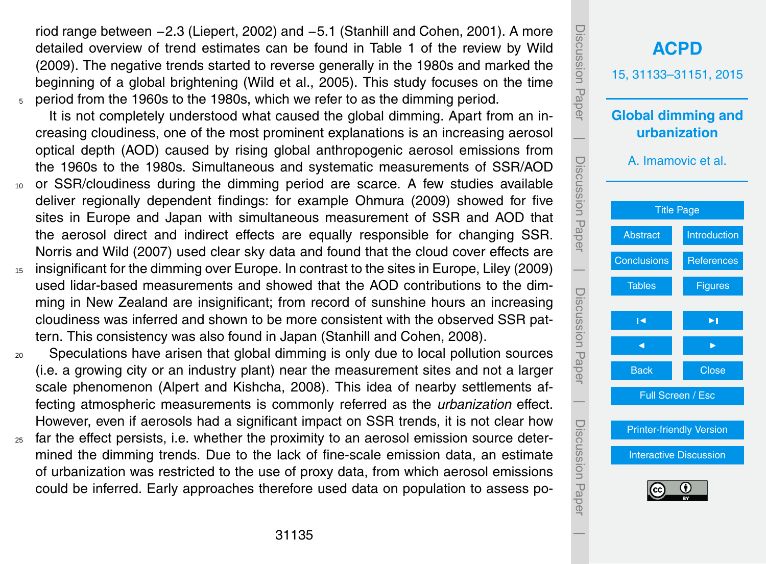<span id="page-2-0"></span>riod range between −2.3 [\(Liepert,](#page-11-0) [2002\)](#page-11-0) and −5.1 [\(Stanhill and Cohen,](#page-11-0) [2001\)](#page-11-0). A more detailed overview of trend estimates can be found in Table 1 of the review by [Wild](#page-11-0) [\(2009\)](#page-11-0). The negative trends started to reverse generally in the 1980s and marked the beginning of a global brightening [\(Wild et al.,](#page-12-0) [2005\)](#page-12-0). This study focuses on the time <sup>5</sup> period from the 1960s to the 1980s, which we refer to as the dimming period.

It is not completely understood what caused the global dimming. Apart from an increasing cloudiness, one of the most prominent explanations is an increasing aerosol optical depth (AOD) caused by rising global anthropogenic aerosol emissions from the 1960s to the 1980s. Simultaneous and systematic measurements of SSR/AOD

- <sup>10</sup> or SSR/cloudiness during the dimming period are scarce. A few studies available deliver regionally dependent findings: for example [Ohmura](#page-11-0) [\(2009\)](#page-11-0) showed for five sites in Europe and Japan with simultaneous measurement of SSR and AOD that the aerosol direct and indirect effects are equally responsible for changing SSR. [Norris and Wild](#page-11-0) [\(2007\)](#page-11-0) used clear sky data and found that the cloud cover effects are
- <sup>15</sup> insignificant for the dimming over Europe. In contrast to the sites in Europe, [Liley](#page-11-0) [\(2009\)](#page-11-0) used lidar-based measurements and showed that the AOD contributions to the dimming in New Zealand are insignificant; from record of sunshine hours an increasing cloudiness was inferred and shown to be more consistent with the observed SSR pattern. This consistency was also found in Japan [\(Stanhill and Cohen,](#page-11-0) [2008\)](#page-11-0).

<sup>20</sup> Speculations have arisen that global dimming is only due to local pollution sources (i.e. a growing city or an industry plant) near the measurement sites and not a larger scale phenomenon [\(Alpert and Kishcha,](#page-10-0) [2008\)](#page-10-0). This idea of nearby settlements affecting atmospheric measurements is commonly referred as the *urbanization* effect. However, even if aerosols had a significant impact on SSR trends, it is not clear how

 $25$  far the effect persists, i.e. whether the proximity to an aerosol emission source determined the dimming trends. Due to the lack of fine-scale emission data, an estimate of urbanization was restricted to the use of proxy data, from which aerosol emissions could be inferred. Early approaches therefore used data on population to assess po-

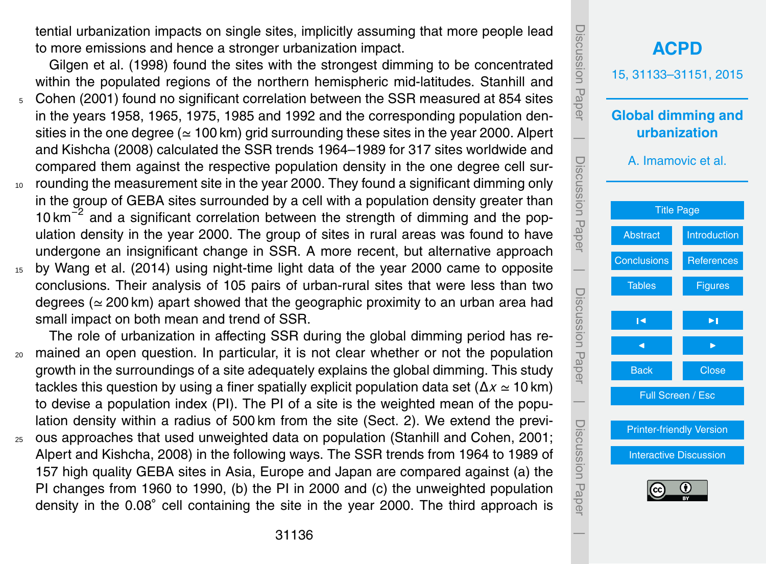<span id="page-3-0"></span>tential urbanization impacts on single sites, implicitly assuming that more people lead to more emissions and hence a stronger urbanization impact.

[Gilgen et al.](#page-10-0) [\(1998\)](#page-10-0) found the sites with the strongest dimming to be concentrated [w](#page-11-0)ithin the populated regions of the northern hemispheric mid-latitudes. [Stanhill and](#page-11-0)

- <sup>5</sup> [Cohen](#page-11-0) [\(2001\)](#page-11-0) found no significant correlation between the SSR measured at 854 sites in the years 1958, 1965, 1975, 1985 and 1992 and the corresponding population den[s](#page-10-0)ities in the one degree ( $\simeq$  100 km) grid surrounding these sites in the year 2000. [Alpert](#page-10-0) [and Kishcha](#page-10-0) [\(2008\)](#page-10-0) calculated the SSR trends 1964–1989 for 317 sites worldwide and compared them against the respective population density in the one degree cell sur-
- <sup>10</sup> rounding the measurement site in the year 2000. They found a significant dimming only in the group of GEBA sites surrounded by a cell with a population density greater than 10 km<sup>-2</sup> and a significant correlation between the strength of dimming and the population density in the year 2000. The group of sites in rural areas was found to have undergone an insignificant change in SSR. A more recent, but alternative approach <sup>15</sup> by [Wang et al.](#page-11-0) [\(2014\)](#page-11-0) using night-time light data of the year 2000 came to opposite
- conclusions. Their analysis of 105 pairs of urban-rural sites that were less than two degrees ( $\simeq$  200 km) apart showed that the geographic proximity to an urban area had small impact on both mean and trend of SSR.

The role of urbanization in affecting SSR during the global dimming period has re-<sup>20</sup> mained an open question. In particular, it is not clear whether or not the population growth in the surroundings of a site adequately explains the global dimming. This study tackles this question by using a finer spatially explicit population data set ( $\Delta x \approx 10$  km) to devise a population index (PI). The PI of a site is the weighted mean of the population density within a radius of 500 km from the site (Sect. [2\)](#page-4-0). We extend the previ-

<sup>25</sup> ous approaches that used unweighted data on population [\(Stanhill and Cohen,](#page-11-0) [2001;](#page-11-0) [Alpert and Kishcha,](#page-10-0) [2008\)](#page-10-0) in the following ways. The SSR trends from 1964 to 1989 of 157 high quality GEBA sites in Asia, Europe and Japan are compared against (a) the PI changes from 1960 to 1990, (b) the PI in 2000 and (c) the unweighted population density in the 0.08◦ cell containing the site in the year 2000. The third approach is

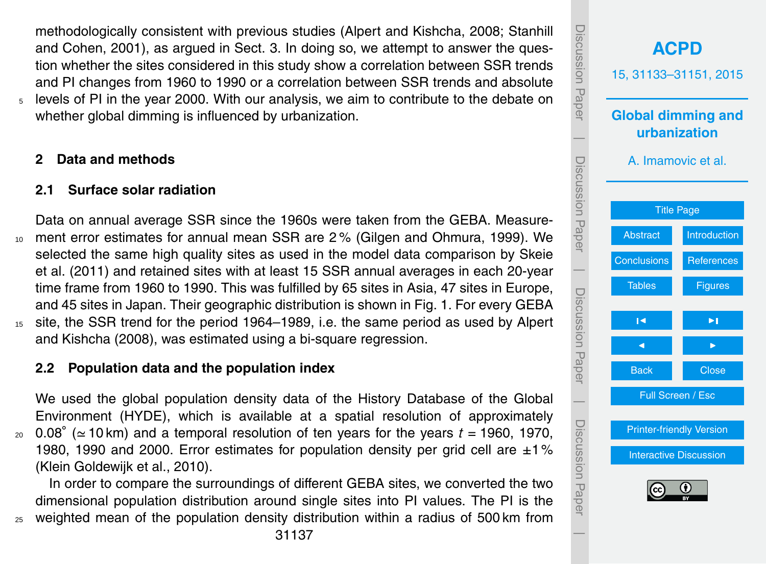<span id="page-4-0"></span>[m](#page-11-0)ethodologically consistent with previous studies [\(Alpert and Kishcha,](#page-10-0) [2008;](#page-10-0) [Stanhill](#page-11-0) [and Cohen,](#page-11-0) [2001\)](#page-11-0), as argued in Sect. [3.](#page-6-0) In doing so, we attempt to answer the question whether the sites considered in this study show a correlation between SSR trends and PI changes from 1960 to 1990 or a correlation between SSR trends and absolute <sup>5</sup> levels of PI in the year 2000. With our analysis, we aim to contribute to the debate on whether global dimming is influenced by urbanization.

# **2 Data and methods**

# **2.1 Surface solar radiation**

Data on annual average SSR since the 1960s were taken from the GEBA. Measure-<sup>10</sup> ment error estimates for annual mean SSR are 2 % [\(Gilgen and Ohmura,](#page-10-0) [1999\)](#page-10-0). We [s](#page-11-0)elected the same high quality sites as used in the model data comparison by [Skeie](#page-11-0) [et al.](#page-11-0) [\(2011\)](#page-11-0) and retained sites with at least 15 SSR annual averages in each 20-year time frame from 1960 to 1990. This was fulfilled by 65 sites in Asia, 47 sites in Europe, and 45 sites in Japan. Their geographic distribution is shown in Fig. 1. For every GEBA <sup>15</sup> [s](#page-10-0)ite, the SSR trend for the period 1964–1989, i.e. the same period as used by [Alpert](#page-10-0) [and Kishcha](#page-10-0) [\(2008\)](#page-10-0), was estimated using a bi-square regression.

## **2.2 Population data and the population index**

We used the global population density data of the History Database of the Global Environment (HYDE), which is available at a spatial resolution of approximately 20 0.08 $\degree$  ( $\simeq$  10 km) and a temporal resolution of ten years for the years *t* = 1960, 1970, 1980, 1990 and 2000. Error estimates for population density per grid cell are  $\pm 1\%$ [\(Klein Goldewijk et al.,](#page-10-0) [2010\)](#page-10-0).

In order to compare the surroundings of different GEBA sites, we converted the two dimensional population distribution around single sites into PI values. The PI is the <sup>25</sup> weighted mean of the population density distribution within a radius of 500 km from

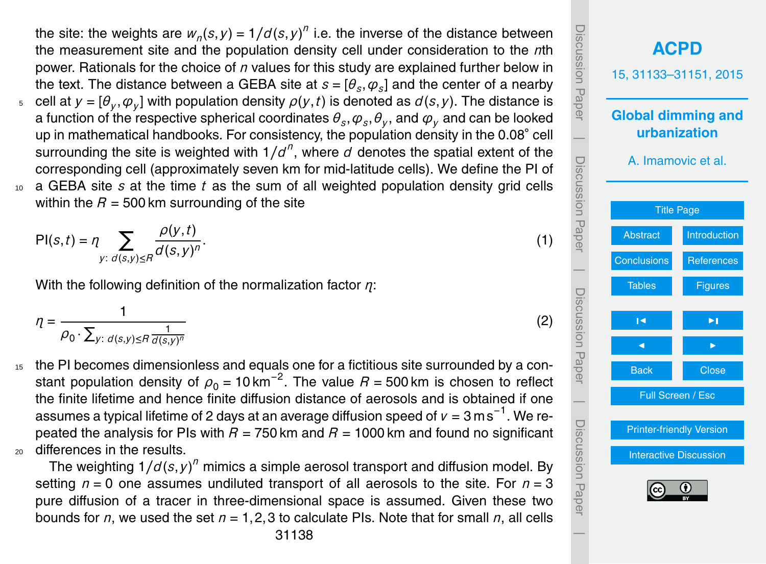the site: the weights are  $w_n(s, y) = 1/d(s, y)^n$  i.e. the inverse of the distance between the measurement site and the population density cell under consideration to the *n*th power. Rationals for the choice of *n* values for this study are explained further below in the text. The distance between a GEBA site at  $s = [\theta_s, \varphi_s]$  and the center of a nearby  $\epsilon$   $\epsilon$  cell at  $y = [\theta_y, \phi_y]$  with population density  $\rho(y, t)$  is denoted as  $d(s, y)$ . The distance is a function of the respective spherical coordinates  $\theta_s, \varphi_s, \theta_y,$  and  $\varphi_y$  and can be looked up in mathematical handbooks. For consistency, the population density in the 0.08◦ cell surrounding the site is weighted with  $1/d^n$ , where  $d$  denotes the spatial extent of the corresponding cell (approximately seven km for mid-latitude cells). We define the PI of <sup>10</sup> a GEBA site *s* at the time *t* as the sum of all weighted population density grid cells within the  $R = 500$  km surrounding of the site

$$
\mathsf{PI}(s,t) = \eta \sum_{y:\ d(s,y)\leq R} \frac{\rho(y,t)}{\sigma(s,y)^n}.\tag{1}
$$

With the following definition of the normalization factor *η*:

$$
\eta = \frac{1}{\rho_0 \cdot \sum_{y: d(s,y) \leq R} \frac{1}{d(s,y)^n}}
$$

<sup>15</sup> the PI becomes dimensionless and equals one for a fictitious site surrounded by a constant population density of  $\rho_0$  = 10 km<sup>-2</sup>. The value  $R$  = 500 km is chosen to reflect the finite lifetime and hence finite diffusion distance of aerosols and is obtained if one assumes a typical lifetime of 2 days at an average diffusion speed of *v* = 3 m s<sup>−1</sup>. We repeated the analysis for PIs with  $R = 750$  km and  $R = 1000$  km and found no significant <sup>20</sup> differences in the results.

The weighting  $1/d(s, y)^n$  mimics a simple aerosol transport and diffusion model. By setting  $n = 0$  one assumes undiluted transport of all aerosols to the site. For  $n = 3$ pure diffusion of a tracer in three-dimensional space is assumed. Given these two bounds for *n*, we used the set *n* = 1,2,3 to calculate PIs. Note that for small *n*, all cells



(2)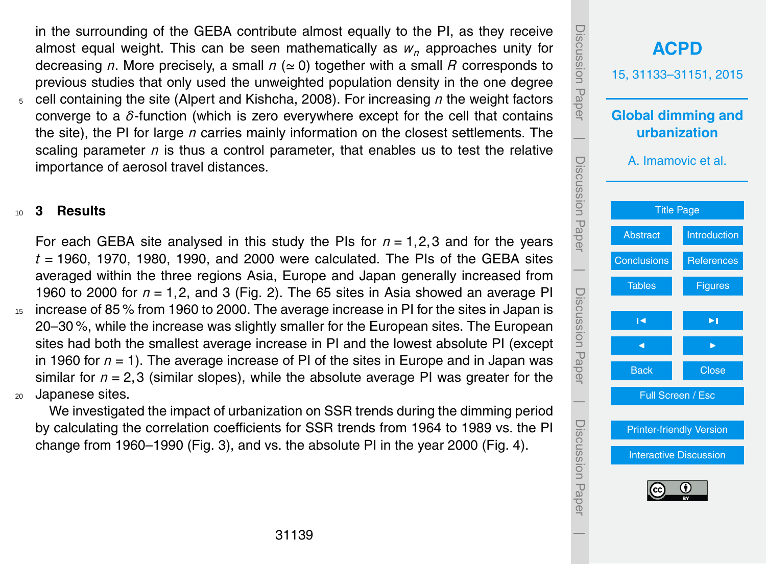<span id="page-6-0"></span>in the surrounding of the GEBA contribute almost equally to the PI, as they receive almost equal weight. This can be seen mathematically as *w<sup>n</sup>* approaches unity for decreasing *n*. More precisely, a small  $n \approx 0$  together with a small *R* corresponds to previous studies that only used the unweighted population density in the one degree <sup>5</sup> cell containing the site [\(Alpert and Kishcha,](#page-10-0) [2008\)](#page-10-0). For increasing *n* the weight factors converge to a *δ*-function (which is zero everywhere except for the cell that contains the site), the PI for large *n* carries mainly information on the closest settlements. The scaling parameter  $n$  is thus a control parameter, that enables us to test the relative importance of aerosol travel distances.

#### <sup>10</sup> **3 Results**

For each GEBA site analysed in this study the PIs for *n* = 1,2,3 and for the years  $t = 1960$ , 1970, 1980, 1990, and 2000 were calculated. The PIs of the GEBA sites averaged within the three regions Asia, Europe and Japan generally increased from 1960 to 2000 for *n* = 1,2, and 3 (Fig. 2). The 65 sites in Asia showed an average PI <sup>15</sup> increase of 85 % from 1960 to 2000. The average increase in PI for the sites in Japan is 20–30 %, while the increase was slightly smaller for the European sites. The European sites had both the smallest average increase in PI and the lowest absolute PI (except in 1960 for *n* = 1). The average increase of PI of the sites in Europe and in Japan was similar for  $n = 2.3$  (similar slopes), while the absolute average PI was greater for the <sup>20</sup> Japanese sites.

We investigated the impact of urbanization on SSR trends during the dimming period by calculating the correlation coefficients for SSR trends from 1964 to 1989 vs. the PI change from 1960–1990 (Fig. 3), and vs. the absolute PI in the year 2000 (Fig. 4).

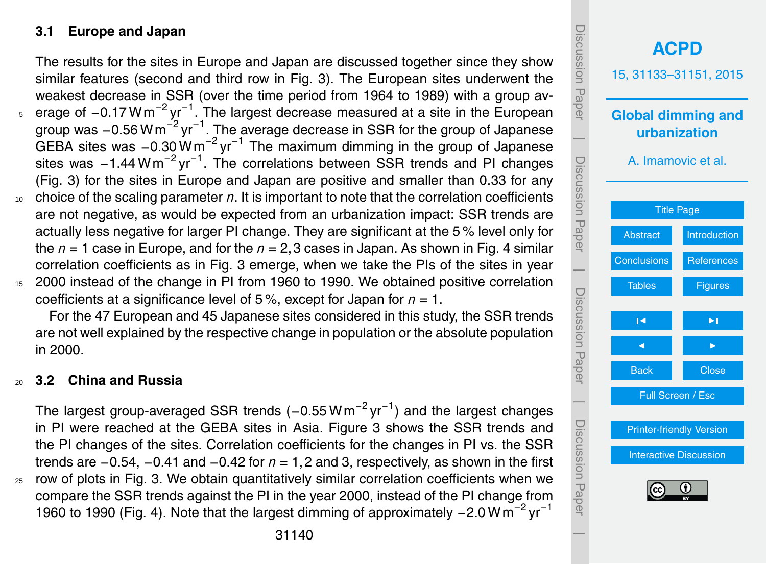# **3.1 Europe and Japan**

The results for the sites in Europe and Japan are discussed together since they show similar features (second and third row in Fig. 3). The European sites underwent the weakest decrease in SSR (over the time period from 1964 to 1989) with a group av-<sub>5</sub> erage of –0.17 Wm<sup>-2</sup> yr<sup>−1</sup>. The largest decrease measured at a site in the European group was -0.56 W m<sup>-2</sup> yr<sup>-1</sup>. The average decrease in SSR for the group of Japanese GEBA sites was -0.30 Wm<sup>-2</sup> yr<sup>-1</sup> The maximum dimming in the group of Japanese sites was -1.44 Wm<sup>-2</sup> yr<sup>-1</sup>. The correlations between SSR trends and PI changes (Fig. 3) for the sites in Europe and Japan are positive and smaller than 0.33 for any <sup>10</sup> choice of the scaling parameter *n*. It is important to note that the correlation coefficients are not negative, as would be expected from an urbanization impact: SSR trends are actually less negative for larger PI change. They are significant at the 5 % level only for the *n* = 1 case in Europe, and for the *n* = 2,3 cases in Japan. As shown in Fig. 4 similar correlation coefficients as in Fig. 3 emerge, when we take the PIs of the sites in year

<sup>15</sup> 2000 instead of the change in PI from 1960 to 1990. We obtained positive correlation coefficients at a significance level of 5 %, except for Japan for *n* = 1.

For the 47 European and 45 Japanese sites considered in this study, the SSR trends are not well explained by the respective change in population or the absolute population in 2000.

## <sup>20</sup> **3.2 China and Russia**

The largest group-averaged SSR trends (–0.55  $\textsf{W}\,\textsf{m}^{-2}\,\textsf{yr}^{-1}$ ) and the largest changes in PI were reached at the GEBA sites in Asia. Figure 3 shows the SSR trends and the PI changes of the sites. Correlation coefficients for the changes in PI vs. the SSR trends are −0.54, −0.41 and −0.42 for *n* = 1,2 and 3, respectively, as shown in the first <sup>25</sup> row of plots in Fig. 3. We obtain quantitatively similar correlation coefficients when we compare the SSR trends against the PI in the year 2000, instead of the PI change from 1960 to 1990 (Fig. 4). Note that the largest dimming of approximately -2.0 Wm<sup>-2</sup> yr<sup>-1</sup>

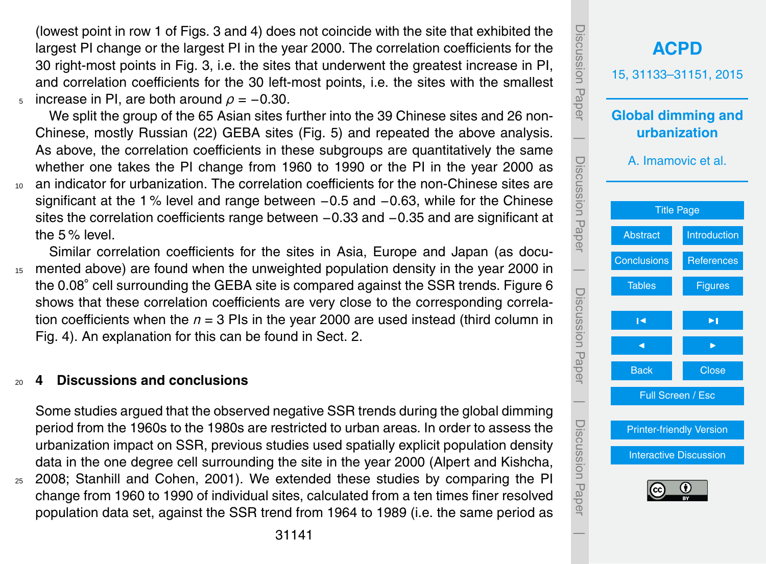<span id="page-8-0"></span>(lowest point in row 1 of Figs. 3 and 4) does not coincide with the site that exhibited the largest PI change or the largest PI in the year 2000. The correlation coefficients for the 30 right-most points in Fig. 3, i.e. the sites that underwent the greatest increase in PI, and correlation coefficients for the 30 left-most points, i.e. the sites with the smallest  $5$  increase in PI, are both around  $ρ = -0.30$ .

We split the group of the 65 Asian sites further into the 39 Chinese sites and 26 non-Chinese, mostly Russian (22) GEBA sites (Fig. 5) and repeated the above analysis. As above, the correlation coefficients in these subgroups are quantitatively the same whether one takes the PI change from 1960 to 1990 or the PI in the year 2000 as <sup>10</sup> an indicator for urbanization. The correlation coefficients for the non-Chinese sites are significant at the 1 % level and range between −0.5 and −0.63, while for the Chinese sites the correlation coefficients range between −0.33 and −0.35 and are significant at the 5 % level.

Similar correlation coefficients for the sites in Asia, Europe and Japan (as docu-<sup>15</sup> mented above) are found when the unweighted population density in the year 2000 in the 0.08◦ cell surrounding the GEBA site is compared against the SSR trends. Figure 6 shows that these correlation coefficients are very close to the corresponding correlation coefficients when the *n* = 3 PIs in the year 2000 are used instead (third column in Fig. 4). An explanation for this can be found in Sect. [2.](#page-4-0)

## <sup>20</sup> **4 Discussions and conclusions**

Some studies argued that the observed negative SSR trends during the global dimming period from the 1960s to the 1980s are restricted to urban areas. In order to assess the urbanization impact on SSR, previous studies used spatially explicit population density data in the one degree cell surrounding the site in the year 2000 [\(Alpert and Kishcha,](#page-10-0) <sup>25</sup> [2008;](#page-10-0) [Stanhill and Cohen,](#page-11-0) [2001\)](#page-11-0). We extended these studies by comparing the PI change from 1960 to 1990 of individual sites, calculated from a ten times finer resolved population data set, against the SSR trend from 1964 to 1989 (i.e. the same period as

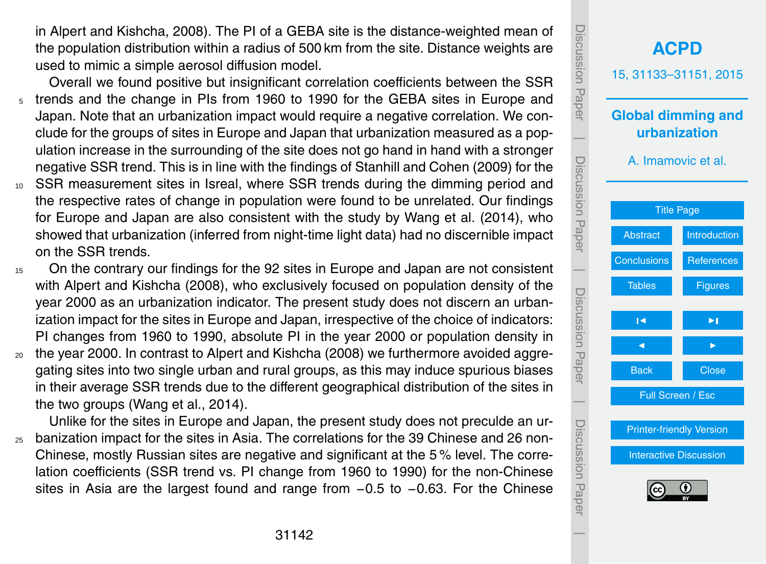<span id="page-9-0"></span>in [Alpert and Kishcha,](#page-10-0) [2008\)](#page-10-0). The PI of a GEBA site is the distance-weighted mean of the population distribution within a radius of 500 km from the site. Distance weights are used to mimic a simple aerosol diffusion model.

- Overall we found positive but insignificant correlation coefficients between the SSR <sup>5</sup> trends and the change in PIs from 1960 to 1990 for the GEBA sites in Europe and Japan. Note that an urbanization impact would require a negative correlation. We conclude for the groups of sites in Europe and Japan that urbanization measured as a population increase in the surrounding of the site does not go hand in hand with a stronger negative SSR trend. This is in line with the findings of [Stanhill and Cohen](#page-11-0) [\(2009\)](#page-11-0) for the <sup>10</sup> SSR measurement sites in Isreal, where SSR trends during the dimming period and
- the respective rates of change in population were found to be unrelated. Our findings for Europe and Japan are also consistent with the study by [Wang et al.](#page-11-0) [\(2014\)](#page-11-0), who showed that urbanization (inferred from night-time light data) had no discernible impact on the SSR trends.
- <sup>15</sup> On the contrary our findings for the 92 sites in Europe and Japan are not consistent with [Alpert and Kishcha](#page-10-0) [\(2008\)](#page-10-0), who exclusively focused on population density of the year 2000 as an urbanization indicator. The present study does not discern an urbanization impact for the sites in Europe and Japan, irrespective of the choice of indicators: PI changes from 1960 to 1990, absolute PI in the year 2000 or population density in
- $20$  the year 2000. In contrast to [Alpert and Kishcha](#page-10-0) [\(2008\)](#page-10-0) we furthermore avoided aggregating sites into two single urban and rural groups, as this may induce spurious biases in their average SSR trends due to the different geographical distribution of the sites in the two groups [\(Wang et al.,](#page-11-0) [2014\)](#page-11-0).

Unlike for the sites in Europe and Japan, the present study does not preculde an ur-<sup>25</sup> banization impact for the sites in Asia. The correlations for the 39 Chinese and 26 non-Chinese, mostly Russian sites are negative and significant at the 5 % level. The correlation coefficients (SSR trend vs. PI change from 1960 to 1990) for the non-Chinese sites in Asia are the largest found and range from −0.5 to −0.63. For the Chinese

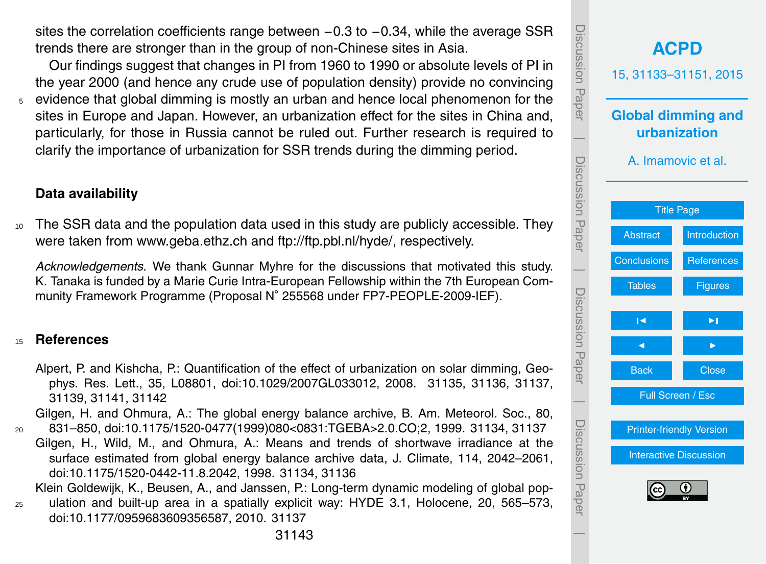<span id="page-10-0"></span>sites the correlation coefficients range between −0.3 to −0.34, while the average SSR trends there are stronger than in the group of non-Chinese sites in Asia.

Our findings suggest that changes in PI from 1960 to 1990 or absolute levels of PI in the year 2000 (and hence any crude use of population density) provide no convincing  $5$  evidence that global dimming is mostly an urban and hence local phenomenon for the sites in Europe and Japan. However, an urbanization effect for the sites in China and, particularly, for those in Russia cannot be ruled out. Further research is required to clarify the importance of urbanization for SSR trends during the dimming period.

# **Data availability**

<sup>10</sup> The SSR data and the population data used in this study are publicly accessible. They were taken from <www.geba.ethz.ch> and [ftp://ftp.pbl.nl/hyde/,](ftp://ftp.pbl.nl/hyde/) respectively.

*Acknowledgements.* We thank Gunnar Myhre for the discussions that motivated this study. K. Tanaka is funded by a Marie Curie Intra-European Fellowship within the 7th European Community Framework Programme (Proposal N◦ 255568 under FP7-PEOPLE-2009-IEF).

## <sup>15</sup> **References**

Alpert, P. and Kishcha, P.: Quantification of the effect of urbanization on solar dimming, Geophys. Res. Lett., 35, L08801, doi[:10.1029/2007GL033012,](http://dx.doi.org/10.1029/2007GL033012) 2008. [31135,](#page-2-0) [31136,](#page-3-0) [31137,](#page-4-0) [31139,](#page-6-0) [31141,](#page-8-0) [31142](#page-9-0)

Gilgen, H. and Ohmura, A.: The global energy balance archive, B. Am. Meteorol. Soc., 80, <sup>20</sup> 831–850, doi[:10.1175/1520-0477\(1999\)080<0831:TGEBA>2.0.CO;2,](http://dx.doi.org/10.1175/1520-0477(1999)080<0831:TGEBA>2.0.CO;2) 1999. [31134,](#page-1-0) [31137](#page-4-0)

Gilgen, H., Wild, M., and Ohmura, A.: Means and trends of shortwave irradiance at the surface estimated from global energy balance archive data, J. Climate, 114, 2042–2061, doi[:10.1175/1520-0442-11.8.2042,](http://dx.doi.org/10.1175/1520-0442-11.8.2042) 1998. [31134,](#page-1-0) [31136](#page-3-0)

Klein Goldewijk, K., Beusen, A., and Janssen, P.: Long-term dynamic modeling of global pop-

<sup>25</sup> ulation and built-up area in a spatially explicit way: HYDE 3.1, Holocene, 20, 565–573, doi[:10.1177/0959683609356587,](http://dx.doi.org/10.1177/0959683609356587) 2010. [31137](#page-4-0)

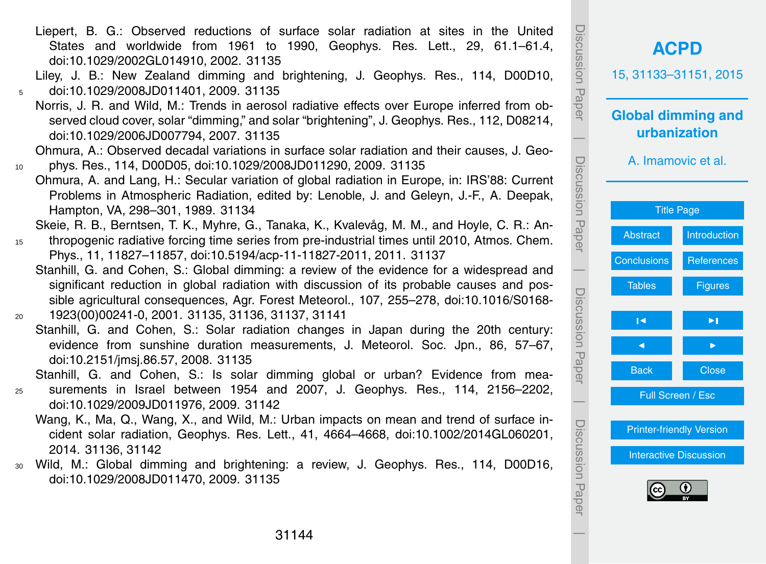<span id="page-11-0"></span>Liepert, B. G.: Observed reductions of surface solar radiation at sites in the United States and worldwide from 1961 to 1990, Geophys. Res. Lett., 29, 61.1–61.4, doi[:10.1029/2002GL014910,](http://dx.doi.org/10.1029/2002GL014910) 2002. [31135](#page-2-0)

Liley, J. B.: New Zealand dimming and brightening, J. Geophys. Res., 114, D00D10, <sup>5</sup> doi[:10.1029/2008JD011401,](http://dx.doi.org/10.1029/2008JD011401) 2009. [31135](#page-2-0)

Norris, J. R. and Wild, M.: Trends in aerosol radiative effects over Europe inferred from observed cloud cover, solar "dimming," and solar "brightening", J. Geophys. Res., 112, D08214, doi[:10.1029/2006JD007794,](http://dx.doi.org/10.1029/2006JD007794) 2007. [31135](#page-2-0)

Ohmura, A.: Observed decadal variations in surface solar radiation and their causes, J. Geo-<sup>10</sup> phys. Res., 114, D00D05, doi[:10.1029/2008JD011290,](http://dx.doi.org/10.1029/2008JD011290) 2009. [31135](#page-2-0)

Ohmura, A. and Lang, H.: Secular variation of global radiation in Europe, in: IRS'88: Current Problems in Atmospheric Radiation, edited by: Lenoble, J. and Geleyn, J.-F., A. Deepak, Hampton, VA, 298–301, 1989. [31134](#page-1-0)

Skeie, R. B., Berntsen, T. K., Myhre, G., Tanaka, K., Kvalevåg, M. M., and Hoyle, C. R.: An-

- 15 thropogenic radiative forcing time series from pre-industrial times until 2010, Atmos. Chem. Phys., 11, 11827–11857, doi[:10.5194/acp-11-11827-2011,](http://dx.doi.org/10.5194/acp-11-11827-2011) 2011. [31137](#page-4-0)
- Stanhill, G. and Cohen, S.: Global dimming: a review of the evidence for a widespread and significant reduction in global radiation with discussion of its probable causes and possible agricultural consequences, Agr. Forest Meteorol., 107, 255–278, doi[:10.1016/S0168-](http://dx.doi.org/10.1016/S0168-1923(00)00241-0) <sup>20</sup> [1923\(00\)00241-0,](http://dx.doi.org/10.1016/S0168-1923(00)00241-0) 2001. [31135,](#page-2-0) [31136,](#page-3-0) [31137,](#page-4-0) [31141](#page-8-0)
	- Stanhill, G. and Cohen, S.: Solar radiation changes in Japan during the 20th century: evidence from sunshine duration measurements, J. Meteorol. Soc. Jpn., 86, 57–67, doi[:10.2151/jmsj.86.57,](http://dx.doi.org/10.2151/jmsj.86.57) 2008. [31135](#page-2-0)

Stanhill, G. and Cohen, S.: Is solar dimming global or urban? Evidence from mea-

<sup>25</sup> surements in Israel between 1954 and 2007, J. Geophys. Res., 114, 2156–2202, doi[:10.1029/2009JD011976,](http://dx.doi.org/10.1029/2009JD011976) 2009. [31142](#page-9-0)

- Wang, K., Ma, Q., Wang, X., and Wild, M.: Urban impacts on mean and trend of surface incident solar radiation, Geophys. Res. Lett., 41, 4664–4668, doi[:10.1002/2014GL060201,](http://dx.doi.org/10.1002/2014GL060201) 2014. [31136,](#page-3-0) [31142](#page-9-0)
- <sup>30</sup> Wild, M.: Global dimming and brightening: a review, J. Geophys. Res., 114, D00D16, doi[:10.1029/2008JD011470,](http://dx.doi.org/10.1029/2008JD011470) 2009. [31135](#page-2-0)

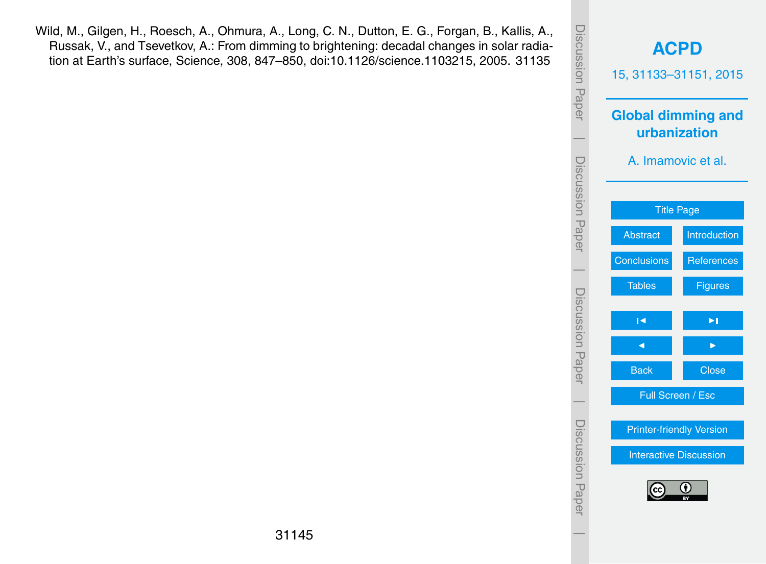<span id="page-12-0"></span>Wild, M., Gilgen, H., Roesch, A., Ohmura, A., Long, C. N., Dutton, E. G., Forgan, B., Kallis, A., Russak, V., and Tsevetkov, A.: From dimming to brightening: decadal changes in solar radiation at Earth's surface, Science, 308, 847–850, doi[:10.1126/science.1103215,](http://dx.doi.org/10.1126/science.1103215) 2005. [31135](#page-2-0)

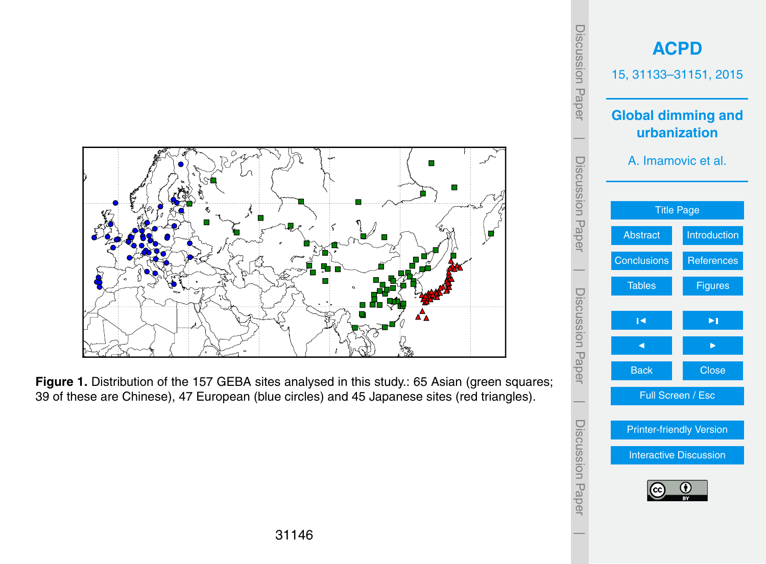<span id="page-13-0"></span>

Figure 1. Distribution of the 157 GEBA sites analysed in this study.: 65 Asian (green squares; 39 of these are Chinese), 47 European (blue circles) and 45 Japanese sites (red triangles).

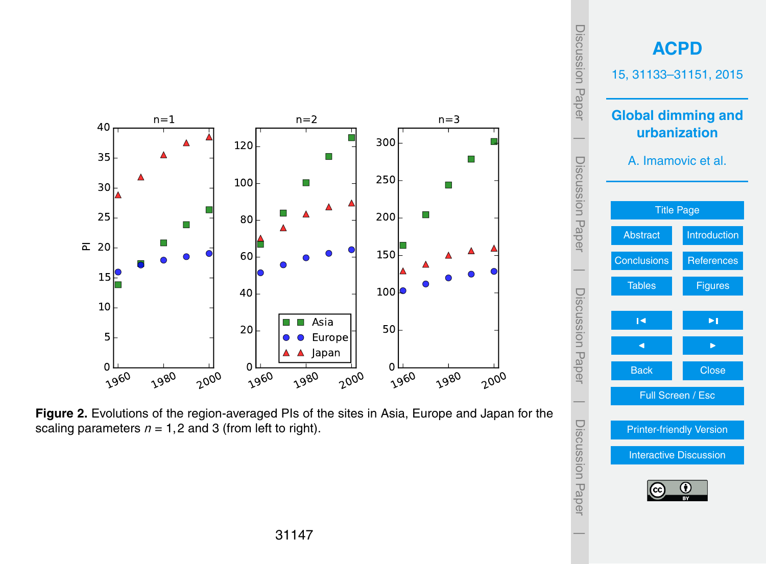

**Figure 2.** Evolutions of the region-averaged PIs of the sites in Asia, Europe and Japan for the scaling parameters  $n = 1, 2$  and 3 (from left to right).

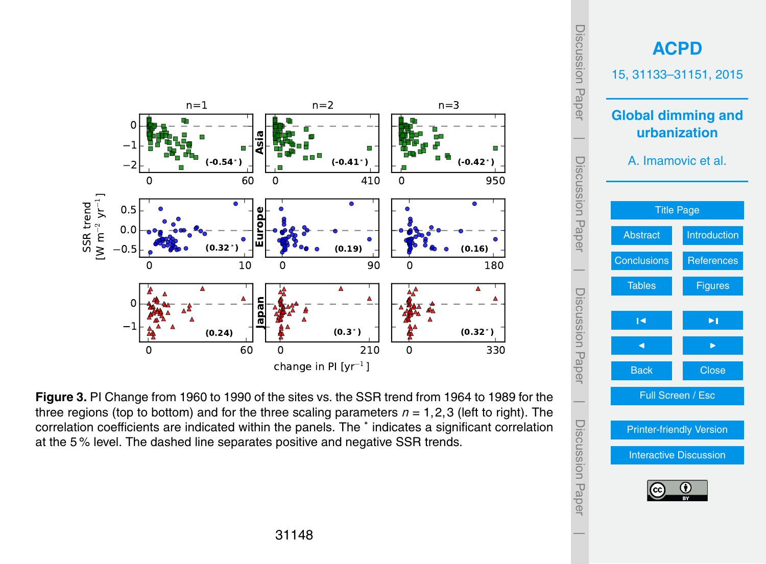

**Figure 3.** PI Change from 1960 to 1990 of the sites vs. the SSR trend from 1964 to 1989 for the three regions (top to bottom) and for the three scaling parameters *n* = 1,2,3 (left to right). The correlation coefficients are indicated within the panels. The <sup>∗</sup> indicates a significant correlation at the 5 % level. The dashed line separates positive and negative SSR trends.

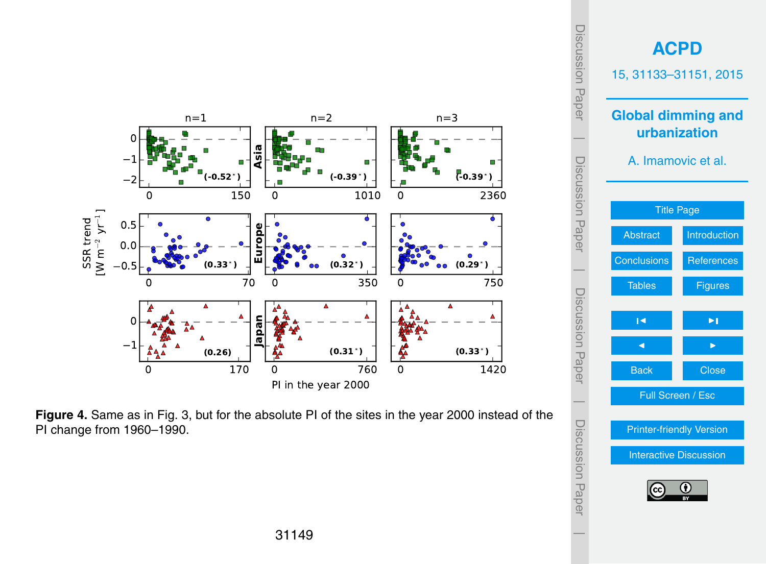

**Figure 4.** Same as in Fig. 3, but for the absolute PI of the sites in the year 2000 instead of the PI change from 1960–1990.

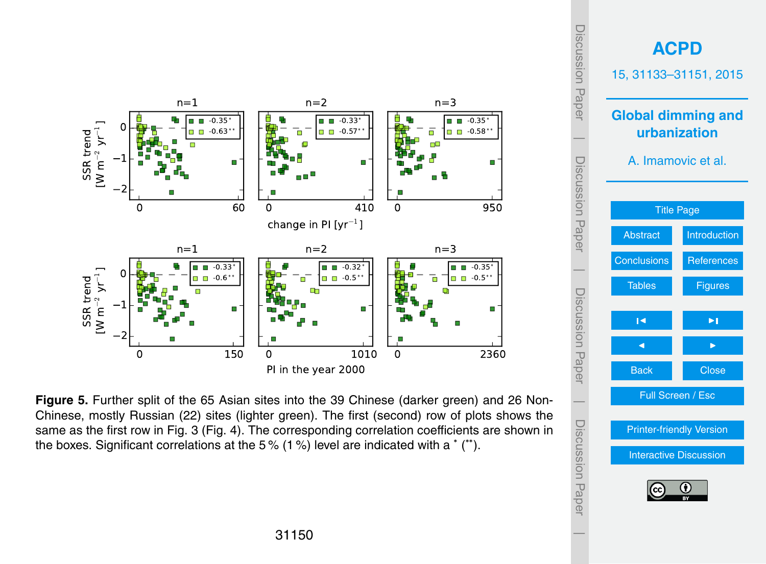

**Figure 5.** Further split of the 65 Asian sites into the 39 Chinese (darker green) and 26 Non-Chinese, mostly Russian (22) sites (lighter green). The first (second) row of plots shows the same as the first row in Fig. 3 (Fig. 4). The corresponding correlation coefficients are shown in the boxes. Significant correlations at the 5% (1%) level are indicated with a  $*$  ( $*$ ).